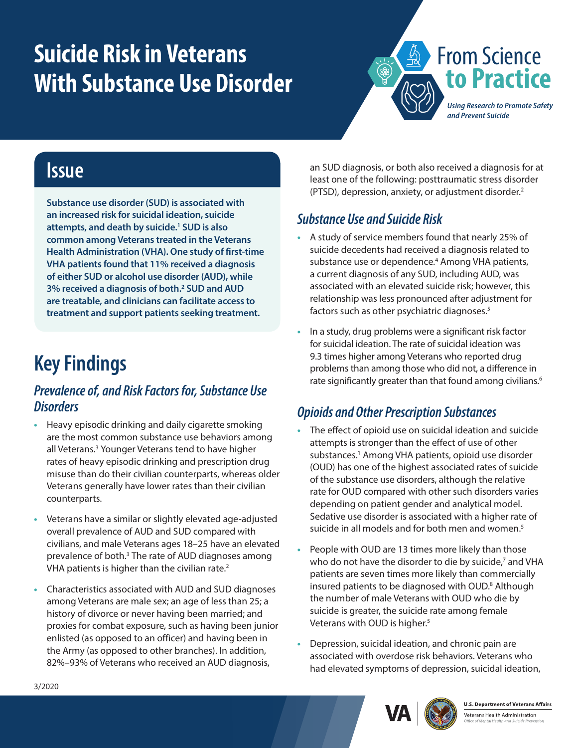# <span id="page-0-0"></span>**Suicide Risk in Veterans With Substance Use Disorder**



### **Issue**

**Substance use disorder (SUD) is associated with an increased risk for suicidal ideation, suicide attempts, and death by suicide.[1](#page-1-0) SUD is also common among Veterans treated in the Veterans Health Administration (VHA). One study of first-time VHA patients found that 11% received a diagnosis of either SUD or alcohol use disorder (AUD), while 3% received a diagnosis of both[.2](#page-1-0) SUD and AUD are treatable, and clinicians can facilitate access to treatment and support patients seeking treatment.**

## **Key Findings**

#### *Prevalence of, and Risk Factors for, Substance Use Disorders*

- **•** Heavy episodic drinking and daily cigarette smoking are the most common substance use behaviors among all Veterans.<sup>3</sup> Younger Veterans tend to have higher rates of heavy episodic drinking and prescription drug misuse than do their civilian counterparts, whereas older Veterans generally have lower rates than their civilian counterparts.
- **•** Veterans have a similar or slightly elevated age-adjusted overall prevalence of AUD and SUD compared with civilians, and male Veterans ages 18–25 have an elevated prevalence of both.<sup>3</sup> The rate of AUD diagnoses among VHA patients is higher than the civilian rate.<sup>2</sup>
- **•** Characteristics associated with AUD and SUD diagnoses among Veterans are male sex; an age of less than 25; a history of divorce or never having been married; and proxies for combat exposure, such as having been junior enlisted (as opposed to an officer) and having been in the Army (as opposed to other branches). In addition, 82%–93% of Veterans who received an AUD diagnosis,

an SUD diagnosis, or both also received a diagnosis for at least one of the following: posttraumatic stress disorder (PTSD), depression, anxiety, or adjustment disorder.[2](#page-1-2)

#### *Substance Use and Suicide Risk*

- **•** A study of service members found that nearly 25% of suicide decedents had received a diagnosis related to substance use or dependence.<sup>4</sup> Among VHA patients, a current diagnosis of any SUD, including AUD, was associated with an elevated suicide risk; however, this relationship was less pronounced after adjustment for factors such as other psychiatric diagnoses.<sup>5</sup>
- **•** In a study, drug problems were a significant risk factor for suicidal ideation. The rate of suicidal ideation was 9.3 times higher among Veterans who reported drug problems than among those who did not, a difference in rate significantly greater than that found among civilians.<sup>6</sup>

#### *Opioids and Other Prescription Substances*

- **•** The effect of opioid use on suicidal ideation and suicide attempts is stronger than the effect of use of other substances.<sup>1</sup> Among VHA patients, opioid use disorder (OUD) has one of the highest associated rates of suicide of the substance use disorders, although the relative rate for OUD compared with other such disorders varies depending on patient gender and analytical model. Sedative use disorder is associated with a higher rate of suicide in all models and for both men and women.<sup>[5](#page-1-4)</sup>
- **•** People with OUD are 13 times more likely than those who do not have the disorder to die by suicide,<sup>[7](#page-1-0)</sup> and VHA patients are seven times more likely than commercially insured patients to be diagnosed with OUD.<sup>8</sup> Although the number of male Veterans with OUD who die by suicide is greater, the suicide rate among female Veterans with OUD is higher.<sup>[5](#page-1-4)</sup>
- **•** Depression, suicidal ideation, and chronic pain are associated with overdose risk behaviors. Veterans who had elevated symptoms of depression, suicidal ideation,